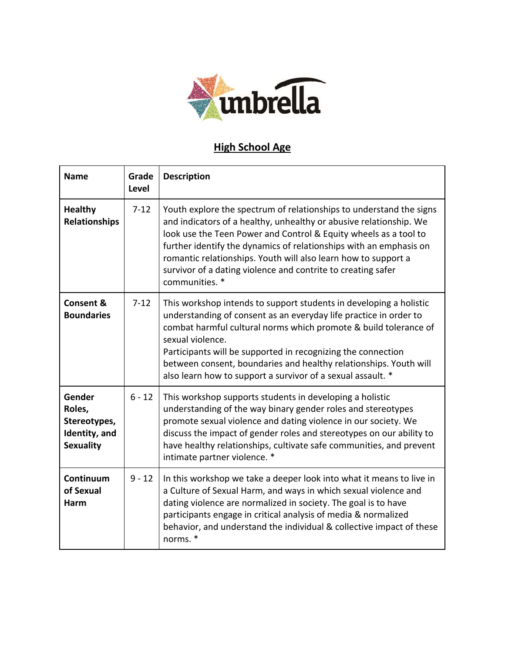

## **High School Age**

| <b>Name</b>                                                           | Grade<br><b>Level</b> | <b>Description</b>                                                                                                                                                                                                                                                                                                                                                                                                                      |
|-----------------------------------------------------------------------|-----------------------|-----------------------------------------------------------------------------------------------------------------------------------------------------------------------------------------------------------------------------------------------------------------------------------------------------------------------------------------------------------------------------------------------------------------------------------------|
| <b>Healthy</b><br><b>Relationships</b>                                | $7 - 12$              | Youth explore the spectrum of relationships to understand the signs<br>and indicators of a healthy, unhealthy or abusive relationship. We<br>look use the Teen Power and Control & Equity wheels as a tool to<br>further identify the dynamics of relationships with an emphasis on<br>romantic relationships. Youth will also learn how to support a<br>survivor of a dating violence and contrite to creating safer<br>communities. * |
| Consent &<br><b>Boundaries</b>                                        | $7 - 12$              | This workshop intends to support students in developing a holistic<br>understanding of consent as an everyday life practice in order to<br>combat harmful cultural norms which promote & build tolerance of<br>sexual violence.<br>Participants will be supported in recognizing the connection<br>between consent, boundaries and healthy relationships. Youth will<br>also learn how to support a survivor of a sexual assault. *     |
| Gender<br>Roles,<br>Stereotypes,<br>Identity, and<br><b>Sexuality</b> | $6 - 12$              | This workshop supports students in developing a holistic<br>understanding of the way binary gender roles and stereotypes<br>promote sexual violence and dating violence in our society. We<br>discuss the impact of gender roles and stereotypes on our ability to<br>have healthy relationships, cultivate safe communities, and prevent<br>intimate partner violence. *                                                               |
| Continuum<br>of Sexual<br>Harm                                        | $9 - 12$              | In this workshop we take a deeper look into what it means to live in<br>a Culture of Sexual Harm, and ways in which sexual violence and<br>dating violence are normalized in society. The goal is to have<br>participants engage in critical analysis of media & normalized<br>behavior, and understand the individual & collective impact of these<br>norms. *                                                                         |